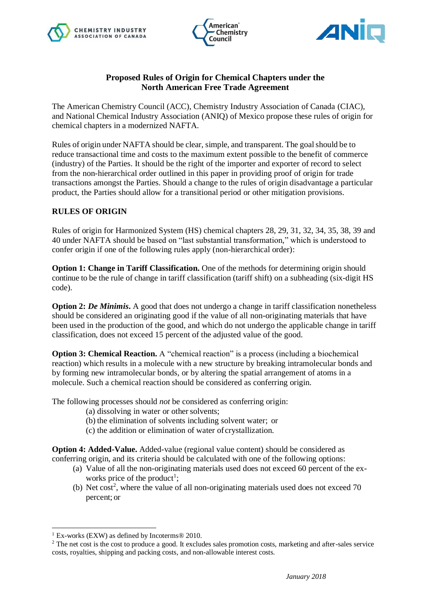





## **Proposed Rules of Origin for Chemical Chapters under the North American Free Trade Agreement**

The American Chemistry Council (ACC), Chemistry Industry Association of Canada (CIAC), and National Chemical Industry Association (ANIQ) of Mexico propose these rules of origin for chemical chapters in a modernized NAFTA.

Rules of origin under NAFTA should be clear, simple, and transparent. The goalshould be to reduce transactional time and costs to the maximum extent possible to the benefit of commerce (industry) of the Parties. It should be the right of the importer and exporter of record to select from the non-hierarchical order outlined in this paper in providing proof of origin for trade transactions amongst the Parties. Should a change to the rules of origin disadvantage a particular product, the Parties should allow for a transitional period or other mitigation provisions.

## **RULES OF ORIGIN**

Rules of origin for Harmonized System (HS) chemical chapters 28, 29, 31, 32, 34, 35, 38, 39 and 40 under NAFTA should be based on "last substantial transformation," which is understood to confer origin if one of the following rules apply (non-hierarchical order):

**Option 1: Change in Tariff Classification.** One of the methods for determining origin should continue to be the rule of change in tariff classification (tariff shift) on a subheading (six-digit HS code).

**Option 2:** *De Minimis***.** A good that does not undergo a change in tariff classification nonetheless should be considered an originating good if the value of all non-originating materials that have been used in the production of the good, and which do not undergo the applicable change in tariff classification, does not exceed 15 percent of the adjusted value of the good.

**Option 3: Chemical Reaction.** A "chemical reaction" is a process (including a biochemical reaction) which results in a molecule with a new structure by breaking intramolecular bonds and by forming new intramolecular bonds, or by altering the spatial arrangement of atoms in a molecule. Such a chemical reaction should be considered as conferring origin.

The following processes should *not* be considered as conferring origin:

- (a) dissolving in water or other solvents;
- (b) the elimination of solvents including solvent water; or
- (c) the addition or elimination of water of crystallization.

**Option 4: Added-Value.** Added-value (regional value content) should be considered as conferring origin, and its criteria should be calculated with one of the following options:

- (a) Value of all the non-originating materials used does not exceed 60 percent of the exworks price of the product<sup>1</sup>;
- (b) Net cost<sup>2</sup>, where the value of all non-originating materials used does not exceed  $70$ percent; or

 $\overline{a}$ 

<sup>1</sup> Ex-works (EXW) as defined by Incoterms® 2010.

<sup>&</sup>lt;sup>2</sup> The net cost is the cost to produce a good. It excludes sales promotion costs, marketing and after-sales service costs, royalties, shipping and packing costs, and non-allowable interest costs.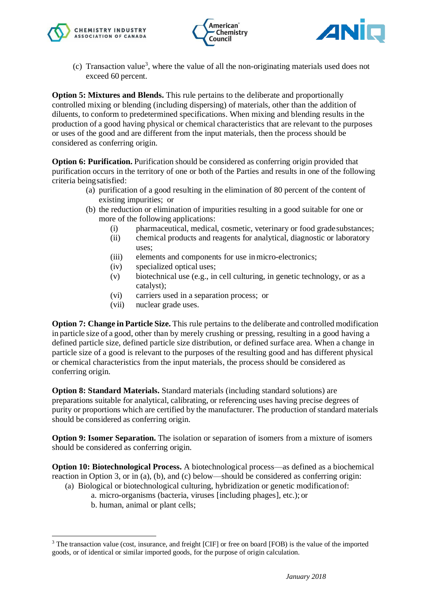





 $(c)$  Transaction value<sup>3</sup>, where the value of all the non-originating materials used does not exceed 60 percent.

**Option 5: Mixtures and Blends.** This rule pertains to the deliberate and proportionally controlled mixing or blending (including dispersing) of materials, other than the addition of diluents, to conform to predetermined specifications. When mixing and blending results in the production of a good having physical or chemical characteristics that are relevant to the purposes or uses of the good and are different from the input materials, then the process should be considered as conferring origin.

**Option 6: Purification.** Purification should be considered as conferring origin provided that purification occurs in the territory of one or both of the Parties and results in one of the following criteria beingsatisfied:

- (a) purification of a good resulting in the elimination of 80 percent of the content of existing impurities; or
- (b) the reduction or elimination of impurities resulting in a good suitable for one or more of the following applications:
	- (i) pharmaceutical, medical, cosmetic, veterinary or food gradesubstances;
	- (ii) chemical products and reagents for analytical, diagnostic or laboratory uses;
	- (iii) elements and components for use inmicro-electronics;
	- (iv) specialized optical uses;
	- (v) biotechnical use (e.g., in cell culturing, in genetic technology, or as a catalyst);
	- (vi) carriers used in a separation process; or
	- (vii) nuclear grade uses.

**Option 7: Change in Particle Size.** This rule pertains to the deliberate and controlled modification in particle size of a good, other than by merely crushing or pressing, resulting in a good having a defined particle size, defined particle size distribution, or defined surface area. When a change in particle size of a good is relevant to the purposes of the resulting good and has different physical or chemical characteristics from the input materials, the process should be considered as conferring origin.

**Option 8: Standard Materials.** Standard materials (including standard solutions) are preparations suitable for analytical, calibrating, or referencing uses having precise degrees of purity or proportions which are certified by the manufacturer. The production of standard materials should be considered as conferring origin.

**Option 9: Isomer Separation.** The isolation or separation of isomers from a mixture of isomers should be considered as conferring origin.

**Option 10: Biotechnological Process.** A biotechnological process—as defined as a biochemical reaction in Option 3, or in (a), (b), and (c) below—should be considered as conferring origin:

- (a) Biological or biotechnological culturing, hybridization or genetic modificationof:
	- a. micro-organisms (bacteria, viruses [including phages], etc.); or
	- b. human, animal or plant cells;

 $\overline{a}$ 

<sup>&</sup>lt;sup>3</sup> The transaction value (cost, insurance, and freight [CIF] or free on board [FOB) is the value of the imported goods, or of identical or similar imported goods, for the purpose of origin calculation.